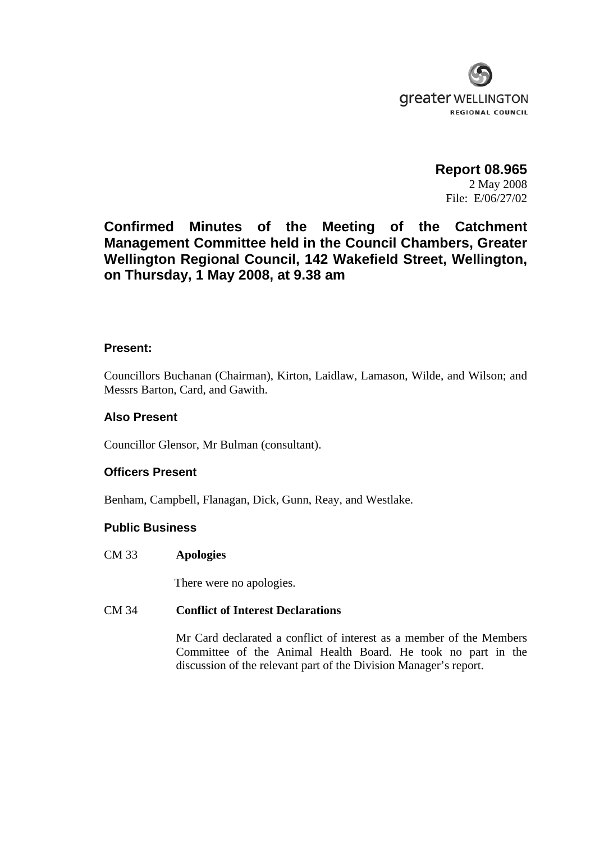

**Report 08.965**  2 May 2008 File: E/06/27/02

**Confirmed Minutes of the Meeting of the Catchment Management Committee held in the Council Chambers, Greater Wellington Regional Council, 142 Wakefield Street, Wellington, on Thursday, 1 May 2008, at 9.38 am** 

## **Present:**

Councillors Buchanan (Chairman), Kirton, Laidlaw, Lamason, Wilde, and Wilson; and Messrs Barton, Card, and Gawith.

# **Also Present**

Councillor Glensor, Mr Bulman (consultant).

# **Officers Present**

Benham, Campbell, Flanagan, Dick, Gunn, Reay, and Westlake.

## **Public Business**

CM 33 **Apologies** 

There were no apologies.

## CM 34 **Conflict of Interest Declarations**

Mr Card declarated a conflict of interest as a member of the Members Committee of the Animal Health Board. He took no part in the discussion of the relevant part of the Division Manager's report.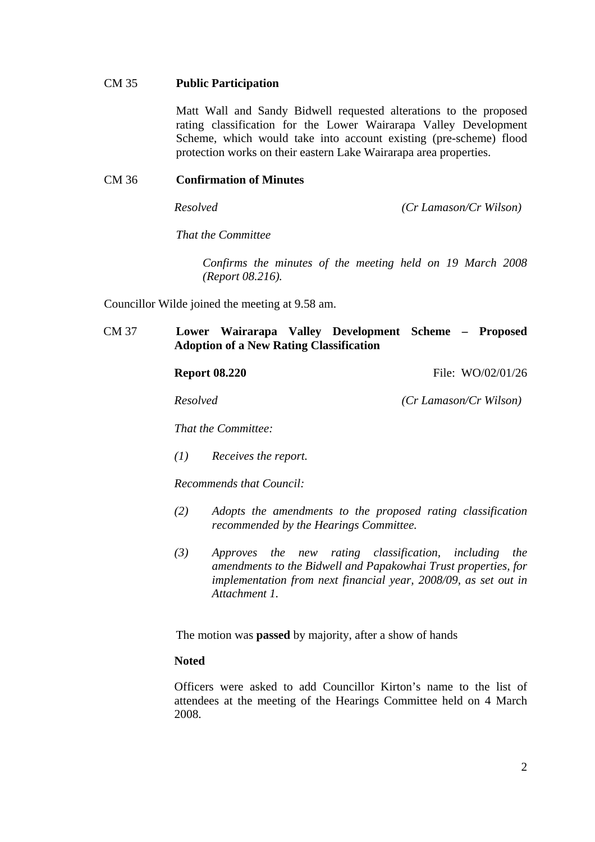# CM 35 **Public Participation**

Matt Wall and Sandy Bidwell requested alterations to the proposed rating classification for the Lower Wairarapa Valley Development Scheme, which would take into account existing (pre-scheme) flood protection works on their eastern Lake Wairarapa area properties.

# CM 36 **Confirmation of Minutes**

*Resolved (Cr Lamason/Cr Wilson)* 

 *That the Committee* 

 *Confirms the minutes of the meeting held on 19 March 2008 (Report 08.216).* 

Councillor Wilde joined the meeting at 9.58 am.

# CM 37 **Lower Wairarapa Valley Development Scheme – Proposed Adoption of a New Rating Classification**

**Report 08.220 File: WO/02/01/26** 

*Resolved (Cr Lamason/Cr Wilson)* 

*That the Committee:* 

*(1) Receives the report.* 

*Recommends that Council:* 

- *(2) Adopts the amendments to the proposed rating classification recommended by the Hearings Committee.*
- *(3) Approves the new rating classification, including the amendments to the Bidwell and Papakowhai Trust properties, for implementation from next financial year, 2008/09, as set out in Attachment 1.*

The motion was **passed** by majority, after a show of hands

### **Noted**

Officers were asked to add Councillor Kirton's name to the list of attendees at the meeting of the Hearings Committee held on 4 March 2008.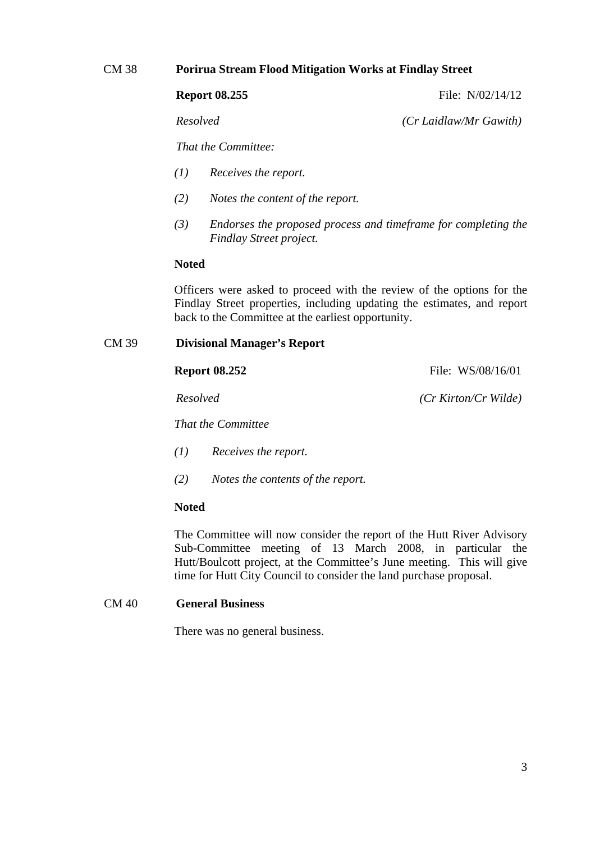# CM 38 **Porirua Stream Flood Mitigation Works at Findlay Street**

**Report 08.255** File: N/02/14/12

*Resolved (Cr Laidlaw/Mr Gawith)* 

 *That the Committee:* 

- *(1) Receives the report.*
- *(2) Notes the content of the report.*
- *(3) Endorses the proposed process and timeframe for completing the Findlay Street project.*

## **Noted**

Officers were asked to proceed with the review of the options for the Findlay Street properties, including updating the estimates, and report back to the Committee at the earliest opportunity.

# CM 39 **Divisional Manager's Report**

**Report 08.252 File: WS/08/16/01** 

 *Resolved (Cr Kirton/Cr Wilde)* 

*That the Committee* 

- *(1) Receives the report.*
- *(2) Notes the contents of the report.*

## **Noted**

The Committee will now consider the report of the Hutt River Advisory Sub-Committee meeting of 13 March 2008, in particular the Hutt/Boulcott project, at the Committee's June meeting. This will give time for Hutt City Council to consider the land purchase proposal.

## CM 40 **General Business**

There was no general business.